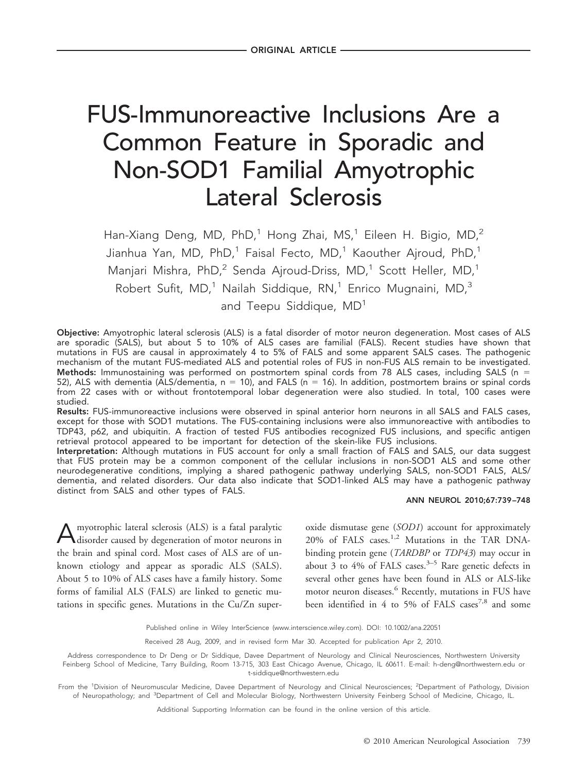# FUS-Immunoreactive Inclusions Are a Common Feature in Sporadic and Non-SOD1 Familial Amyotrophic Lateral Sclerosis

Han-Xiang Deng, MD, PhD,<sup>1</sup> Hong Zhai, MS,<sup>1</sup> Eileen H. Bigio, MD,<sup>2</sup> Jianhua Yan, MD, PhD,<sup>1</sup> Faisal Fecto, MD,<sup>1</sup> Kaouther Ajroud, PhD,<sup>1</sup> Manjari Mishra, PhD,<sup>2</sup> Senda Ajroud-Driss, MD,<sup>1</sup> Scott Heller, MD,<sup>1</sup> Robert Sufit,  $MD<sub>i</sub><sup>1</sup>$  Nailah Siddique, RN<sub>i</sub><sup>1</sup> Enrico Mugnaini, MD<sub>i</sub><sup>3</sup> and Teepu Siddique, MD<sup>1</sup>

Objective: Amyotrophic lateral sclerosis (ALS) is a fatal disorder of motor neuron degeneration. Most cases of ALS are sporadic (SALS), but about 5 to 10% of ALS cases are familial (FALS). Recent studies have shown that mutations in FUS are causal in approximately 4 to 5% of FALS and some apparent SALS cases. The pathogenic mechanism of the mutant FUS-mediated ALS and potential roles of FUS in non-FUS ALS remain to be investigated. Methods: Immunostaining was performed on postmortem spinal cords from 78 ALS cases, including SALS (n = 52), ALS with dementia (ALS/dementia,  $n = 10$ ), and FALS ( $n = 16$ ). In addition, postmortem brains or spinal cords from 22 cases with or without frontotemporal lobar degeneration were also studied. In total, 100 cases were studied.

Results: FUS-immunoreactive inclusions were observed in spinal anterior horn neurons in all SALS and FALS cases, except for those with SOD1 mutations. The FUS-containing inclusions were also immunoreactive with antibodies to TDP43, p62, and ubiquitin. A fraction of tested FUS antibodies recognized FUS inclusions, and specific antigen retrieval protocol appeared to be important for detection of the skein-like FUS inclusions.

Interpretation: Although mutations in FUS account for only a small fraction of FALS and SALS, our data suggest that FUS protein may be a common component of the cellular inclusions in non-SOD1 ALS and some other neurodegenerative conditions, implying a shared pathogenic pathway underlying SALS, non-SOD1 FALS, ALS/ dementia, and related disorders. Our data also indicate that SOD1-linked ALS may have a pathogenic pathway distinct from SALS and other types of FALS.

#### ANN NEUROL 2010;67:739 –748

Amyotrophic lateral sclerosis (ALS) is a fatal paralytic disorder caused by degeneration of motor neurons in the brain and spinal cord. Most cases of ALS are of unknown etiology and appear as sporadic ALS (SALS). About 5 to 10% of ALS cases have a family history. Some forms of familial ALS (FALS) are linked to genetic mutations in specific genes. Mutations in the Cu/Zn superoxide dismutase gene (*SOD1*) account for approximately 20% of FALS cases.<sup>1,2</sup> Mutations in the TAR DNAbinding protein gene (*TARDBP* or *TDP43*) may occur in about 3 to 4% of FALS cases.<sup>3–5</sup> Rare genetic defects in several other genes have been found in ALS or ALS-like motor neuron diseases.<sup>6</sup> Recently, mutations in FUS have been identified in 4 to 5% of FALS cases<sup>7,8</sup> and some

Published online in Wiley InterScience (www.interscience.wiley.com). DOI: 10.1002/ana.22051

Received 28 Aug, 2009, and in revised form Mar 30. Accepted for publication Apr 2, 2010.

Address correspondence to Dr Deng or Dr Siddique, Davee Department of Neurology and Clinical Neurosciences, Northwestern University Feinberg School of Medicine, Tarry Building, Room 13-715, 303 East Chicago Avenue, Chicago, IL 60611. E-mail: h-deng@northwestern.edu or t-siddique@northwestern.edu

From the <sup>1</sup>Division of Neuromuscular Medicine, Davee Department of Neurology and Clinical Neurosciences; <sup>2</sup>Department of Pathology, Division of Neuropathology; and <sup>3</sup>Department of Cell and Molecular Biology, Northwestern University Feinberg School of Medicine, Chicago, IL.

Additional Supporting Information can be found in the online version of this article.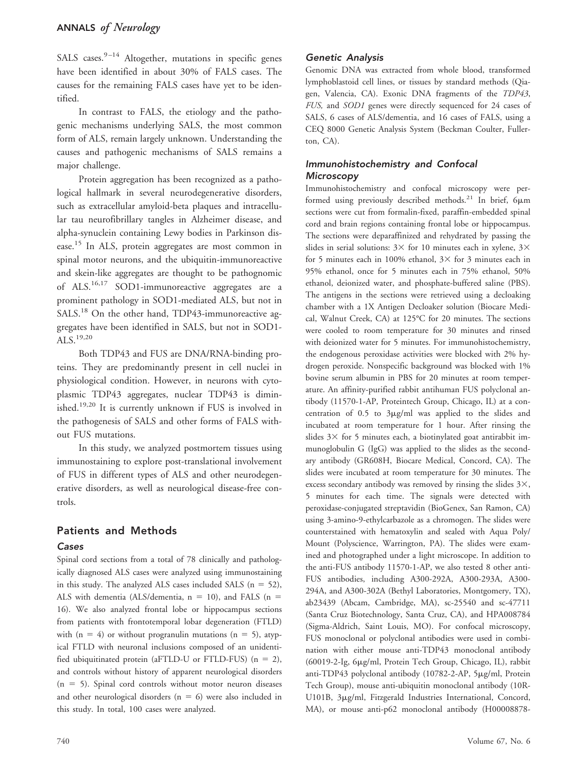SALS cases. $9-14$  Altogether, mutations in specific genes have been identified in about 30% of FALS cases. The causes for the remaining FALS cases have yet to be identified.

In contrast to FALS, the etiology and the pathogenic mechanisms underlying SALS, the most common form of ALS, remain largely unknown. Understanding the causes and pathogenic mechanisms of SALS remains a major challenge.

Protein aggregation has been recognized as a pathological hallmark in several neurodegenerative disorders, such as extracellular amyloid-beta plaques and intracellular tau neurofibrillary tangles in Alzheimer disease, and alpha-synuclein containing Lewy bodies in Parkinson disease.15 In ALS, protein aggregates are most common in spinal motor neurons, and the ubiquitin-immunoreactive and skein-like aggregates are thought to be pathognomic of  $ALS.^{16,17}$  SOD1-immunoreactive aggregates are a prominent pathology in SOD1-mediated ALS, but not in SALS.<sup>18</sup> On the other hand, TDP43-immunoreactive aggregates have been identified in SALS, but not in SOD1- ALS. $^{19,20}$ 

Both TDP43 and FUS are DNA/RNA-binding proteins. They are predominantly present in cell nuclei in physiological condition. However, in neurons with cytoplasmic TDP43 aggregates, nuclear TDP43 is diminished.19,20 It is currently unknown if FUS is involved in the pathogenesis of SALS and other forms of FALS without FUS mutations.

In this study, we analyzed postmortem tissues using immunostaining to explore post-translational involvement of FUS in different types of ALS and other neurodegenerative disorders, as well as neurological disease-free controls.

# Patients and Methods

## Cases

Spinal cord sections from a total of 78 clinically and pathologically diagnosed ALS cases were analyzed using immunostaining in this study. The analyzed ALS cases included SALS  $(n = 52)$ , ALS with dementia (ALS/dementia,  $n = 10$ ), and FALS ( $n =$ 16). We also analyzed frontal lobe or hippocampus sections from patients with frontotemporal lobar degeneration (FTLD) with  $(n = 4)$  or without progranulin mutations  $(n = 5)$ , atypical FTLD with neuronal inclusions composed of an unidentified ubiquitinated protein (aFTLD-U or FTLD-FUS) ( $n = 2$ ), and controls without history of apparent neurological disorders  $(n = 5)$ . Spinal cord controls without motor neuron diseases and other neurological disorders ( $n = 6$ ) were also included in this study. In total, 100 cases were analyzed.

## Genetic Analysis

Genomic DNA was extracted from whole blood, transformed lymphoblastoid cell lines, or tissues by standard methods (Qiagen, Valencia, CA). Exonic DNA fragments of the *TDP43*, *FUS,* and *SOD1* genes were directly sequenced for 24 cases of SALS, 6 cases of ALS/dementia, and 16 cases of FALS, using a CEQ 8000 Genetic Analysis System (Beckman Coulter, Fullerton, CA).

## Immunohistochemistry and Confocal Microscopy

Immunohistochemistry and confocal microscopy were performed using previously described methods.<sup>21</sup> In brief,  $6\mu$ m sections were cut from formalin-fixed, paraffin-embedded spinal cord and brain regions containing frontal lobe or hippocampus. The sections were deparaffinized and rehydrated by passing the slides in serial solutions:  $3 \times$  for 10 minutes each in xylene,  $3 \times$ for 5 minutes each in 100% ethanol,  $3 \times$  for 3 minutes each in 95% ethanol, once for 5 minutes each in 75% ethanol, 50% ethanol, deionized water, and phosphate-buffered saline (PBS). The antigens in the sections were retrieved using a decloaking chamber with a 1X Antigen Decloaker solution (Biocare Medical, Walnut Creek, CA) at 125°C for 20 minutes. The sections were cooled to room temperature for 30 minutes and rinsed with deionized water for 5 minutes. For immunohistochemistry, the endogenous peroxidase activities were blocked with 2% hydrogen peroxide. Nonspecific background was blocked with 1% bovine serum albumin in PBS for 20 minutes at room temperature. An affinity-purified rabbit antihuman FUS polyclonal antibody (11570-1-AP, Proteintech Group, Chicago, IL) at a concentration of  $0.5$  to  $3\mu$ g/ml was applied to the slides and incubated at room temperature for 1 hour. After rinsing the slides  $3 \times$  for 5 minutes each, a biotinylated goat antirabbit immunoglobulin G (IgG) was applied to the slides as the secondary antibody (GR608H, Biocare Medical, Concord, CA). The slides were incubated at room temperature for 30 minutes. The excess secondary antibody was removed by rinsing the slides  $3\times$ , 5 minutes for each time. The signals were detected with peroxidase-conjugated streptavidin (BioGenex, San Ramon, CA) using 3-amino-9-ethylcarbazole as a chromogen. The slides were counterstained with hematoxylin and sealed with Aqua Poly/ Mount (Polyscience, Warrington, PA). The slides were examined and photographed under a light microscope. In addition to the anti-FUS antibody 11570-1-AP, we also tested 8 other anti-FUS antibodies, including A300-292A, A300-293A, A300- 294A, and A300-302A (Bethyl Laboratories, Montgomery, TX), ab23439 (Abcam, Cambridge, MA), sc-25540 and sc-47711 (Santa Cruz Biotechnology, Santa Cruz, CA), and HPA008784 (Sigma-Aldrich, Saint Louis, MO). For confocal microscopy, FUS monoclonal or polyclonal antibodies were used in combination with either mouse anti-TDP43 monoclonal antibody (60019-2-Ig, 6µg/ml, Protein Tech Group, Chicago, IL), rabbit anti-TDP43 polyclonal antibody (10782-2-AP, 5µg/ml, Protein Tech Group), mouse anti-ubiquitin monoclonal antibody (10R-U101B, 3µg/ml, Fitzgerald Industries International, Concord, MA), or mouse anti-p62 monoclonal antibody (H00008878-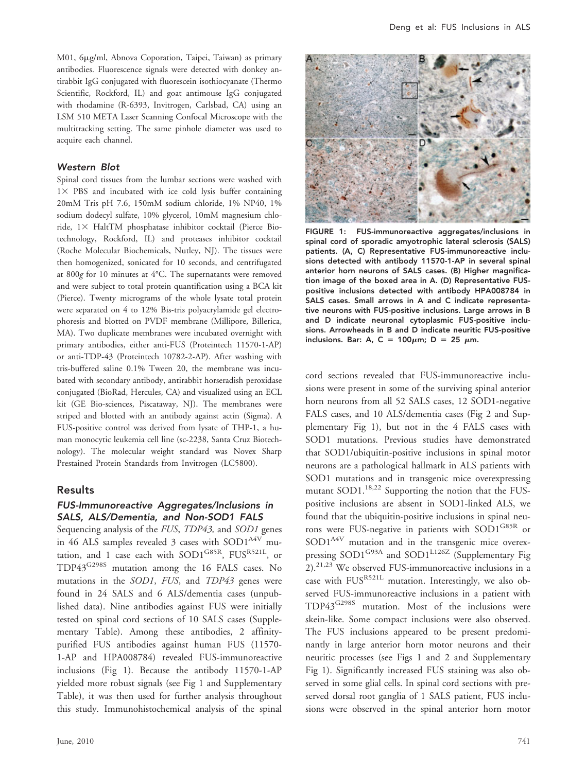M01, 6µg/ml, Abnova Coporation, Taipei, Taiwan) as primary antibodies. Fluorescence signals were detected with donkey antirabbit IgG conjugated with fluorescein isothiocyanate (Thermo Scientific, Rockford, IL) and goat antimouse IgG conjugated with rhodamine (R-6393, Invitrogen, Carlsbad, CA) using an LSM 510 META Laser Scanning Confocal Microscope with the multitracking setting. The same pinhole diameter was used to acquire each channel.

#### Western Blot

Spinal cord tissues from the lumbar sections were washed with  $1 \times$  PBS and incubated with ice cold lysis buffer containing 20mM Tris pH 7.6, 150mM sodium chloride, 1% NP40, 1% sodium dodecyl sulfate, 10% glycerol, 10mM magnesium chloride,  $1 \times$  HaltTM phosphatase inhibitor cocktail (Pierce Biotechnology, Rockford, IL) and proteases inhibitor cocktail (Roche Molecular Biochemicals, Nutley, NJ). The tissues were then homogenized, sonicated for 10 seconds, and centrifugated at 800*g* for 10 minutes at 4°C. The supernatants were removed and were subject to total protein quantification using a BCA kit (Pierce). Twenty micrograms of the whole lysate total protein were separated on 4 to 12% Bis-tris polyacrylamide gel electrophoresis and blotted on PVDF membrane (Millipore, Billerica, MA). Two duplicate membranes were incubated overnight with primary antibodies, either anti-FUS (Proteintech 11570-1-AP) or anti-TDP-43 (Proteintech 10782-2-AP). After washing with tris-buffered saline 0.1% Tween 20, the membrane was incubated with secondary antibody, antirabbit horseradish peroxidase conjugated (BioRad, Hercules, CA) and visualized using an ECL kit (GE Bio-sciences, Piscataway, NJ). The membranes were striped and blotted with an antibody against actin (Sigma). A FUS-positive control was derived from lysate of THP-1, a human monocytic leukemia cell line (sc-2238, Santa Cruz Biotechnology). The molecular weight standard was Novex Sharp Prestained Protein Standards from Invitrogen (LC5800).

#### Results

#### FUS-Immunoreactive Aggregates/Inclusions in SALS, ALS/Dementia, and Non-SOD1 FALS

Sequencing analysis of the *FUS*, *TDP43,* and *SOD1* genes in 46 ALS samples revealed 3 cases with SOD1<sup>A4V</sup> mutation, and 1 case each with  $SOD1^{G85R}$ ,  $FUS^{R521L}$ , or TDP43<sup>G298S</sup> mutation among the 16 FALS cases. No mutations in the *SOD1*, *FUS*, and *TDP43* genes were found in 24 SALS and 6 ALS/dementia cases (unpublished data). Nine antibodies against FUS were initially tested on spinal cord sections of 10 SALS cases (Supplementary Table). Among these antibodies, 2 affinitypurified FUS antibodies against human FUS (11570- 1-AP and HPA008784) revealed FUS-immunoreactive inclusions (Fig 1). Because the antibody 11570-1-AP yielded more robust signals (see Fig 1 and Supplementary Table), it was then used for further analysis throughout this study. Immunohistochemical analysis of the spinal



FIGURE 1: FUS-immunoreactive aggregates/inclusions in spinal cord of sporadic amyotrophic lateral sclerosis (SALS) patients. (A, C) Representative FUS-immunoreactive inclusions detected with antibody 11570-1-AP in several spinal anterior horn neurons of SALS cases. (B) Higher magnification image of the boxed area in A. (D) Representative FUSpositive inclusions detected with antibody HPA008784 in SALS cases. Small arrows in A and C indicate representative neurons with FUS-positive inclusions. Large arrows in B and D indicate neuronal cytoplasmic FUS-positive inclusions. Arrowheads in B and D indicate neuritic FUS-positive inclusions. Bar: A, C = 100 $\mu$ m; D = 25  $\mu$ m.

cord sections revealed that FUS-immunoreactive inclusions were present in some of the surviving spinal anterior horn neurons from all 52 SALS cases, 12 SOD1-negative FALS cases, and 10 ALS/dementia cases (Fig 2 and Supplementary Fig 1), but not in the 4 FALS cases with SOD1 mutations. Previous studies have demonstrated that SOD1/ubiquitin-positive inclusions in spinal motor neurons are a pathological hallmark in ALS patients with SOD1 mutations and in transgenic mice overexpressing mutant SOD1.<sup>18,22</sup> Supporting the notion that the FUSpositive inclusions are absent in SOD1-linked ALS, we found that the ubiquitin-positive inclusions in spinal neurons were FUS-negative in patients with SOD1<sup>G85R</sup> or SOD1<sup>A4V</sup> mutation and in the transgenic mice overexpressing SOD1<sup>G93A</sup> and SOD1<sup>L126Z</sup> (Supplementary Fig 2).21,23 We observed FUS-immunoreactive inclusions in a case with  $FUS^{R521L}$  mutation. Interestingly, we also observed FUS-immunoreactive inclusions in a patient with TDP43G298S mutation. Most of the inclusions were skein-like. Some compact inclusions were also observed. The FUS inclusions appeared to be present predominantly in large anterior horn motor neurons and their neuritic processes (see Figs 1 and 2 and Supplementary Fig 1). Significantly increased FUS staining was also observed in some glial cells. In spinal cord sections with preserved dorsal root ganglia of 1 SALS patient, FUS inclusions were observed in the spinal anterior horn motor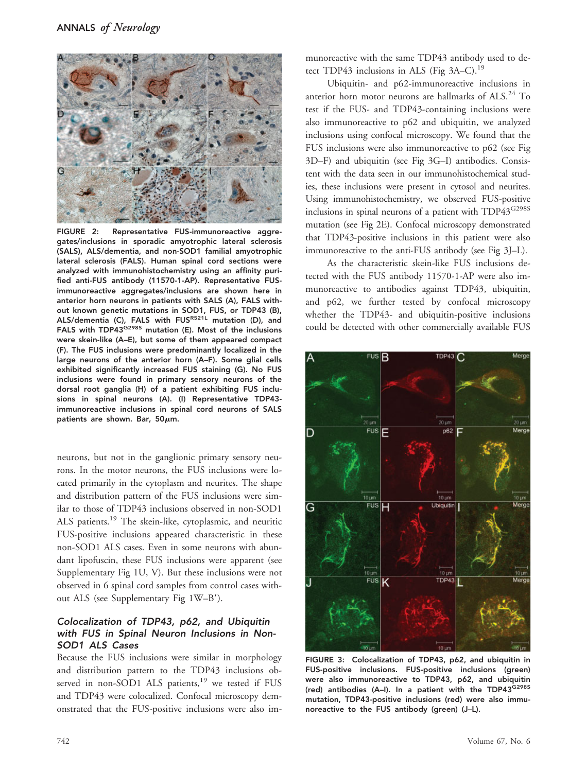

FIGURE 2: Representative FUS-immunoreactive aggregates/inclusions in sporadic amyotrophic lateral sclerosis (SALS), ALS/dementia, and non-SOD1 familial amyotrophic lateral sclerosis (FALS). Human spinal cord sections were analyzed with immunohistochemistry using an affinity purified anti-FUS antibody (11570-1-AP). Representative FUSimmunoreactive aggregates/inclusions are shown here in anterior horn neurons in patients with SALS (A), FALS without known genetic mutations in SOD1, FUS, or TDP43 (B), ALS/dementia (C), FALS with FUSR521L mutation (D), and FALS with TDP43G298S mutation (E). Most of the inclusions were skein-like (A–E), but some of them appeared compact (F). The FUS inclusions were predominantly localized in the large neurons of the anterior horn (A–F). Some glial cells exhibited significantly increased FUS staining (G). No FUS inclusions were found in primary sensory neurons of the dorsal root ganglia (H) of a patient exhibiting FUS inclusions in spinal neurons (A). (I) Representative TDP43 immunoreactive inclusions in spinal cord neurons of SALS patients are shown. Bar,  $50\mu$ m.

neurons, but not in the ganglionic primary sensory neurons. In the motor neurons, the FUS inclusions were located primarily in the cytoplasm and neurites. The shape and distribution pattern of the FUS inclusions were similar to those of TDP43 inclusions observed in non-SOD1 ALS patients.19 The skein-like, cytoplasmic, and neuritic FUS-positive inclusions appeared characteristic in these non-SOD1 ALS cases. Even in some neurons with abundant lipofuscin, these FUS inclusions were apparent (see Supplementary Fig 1U, V). But these inclusions were not observed in 6 spinal cord samples from control cases without ALS (see Supplementary Fig 1W–B).

## Colocalization of TDP43, p62, and Ubiquitin with FUS in Spinal Neuron Inclusions in Non-SOD1 ALS Cases

Because the FUS inclusions were similar in morphology and distribution pattern to the TDP43 inclusions observed in non-SOD1 ALS patients,<sup>19</sup> we tested if FUS and TDP43 were colocalized. Confocal microscopy demonstrated that the FUS-positive inclusions were also immunoreactive with the same TDP43 antibody used to detect TDP43 inclusions in ALS (Fig  $3A-C$ ).<sup>19</sup>

Ubiquitin- and p62-immunoreactive inclusions in anterior horn motor neurons are hallmarks of ALS.<sup>24</sup> To test if the FUS- and TDP43-containing inclusions were also immunoreactive to p62 and ubiquitin, we analyzed inclusions using confocal microscopy. We found that the FUS inclusions were also immunoreactive to p62 (see Fig 3D–F) and ubiquitin (see Fig 3G–I) antibodies. Consistent with the data seen in our immunohistochemical studies, these inclusions were present in cytosol and neurites. Using immunohistochemistry, we observed FUS-positive inclusions in spinal neurons of a patient with TDP43<sup>G298S</sup> mutation (see Fig 2E). Confocal microscopy demonstrated that TDP43-positive inclusions in this patient were also immunoreactive to the anti-FUS antibody (see Fig 3J–L).

As the characteristic skein-like FUS inclusions detected with the FUS antibody 11570-1-AP were also immunoreactive to antibodies against TDP43, ubiquitin, and p62, we further tested by confocal microscopy whether the TDP43- and ubiquitin-positive inclusions could be detected with other commercially available FUS



FIGURE 3: Colocalization of TDP43, p62, and ubiquitin in FUS-positive inclusions. FUS-positive inclusions (green) were also immunoreactive to TDP43, p62, and ubiquitin (red) antibodies (A–I). In a patient with the TDP43G298S mutation, TDP43-positive inclusions (red) were also immunoreactive to the FUS antibody (green) (J–L).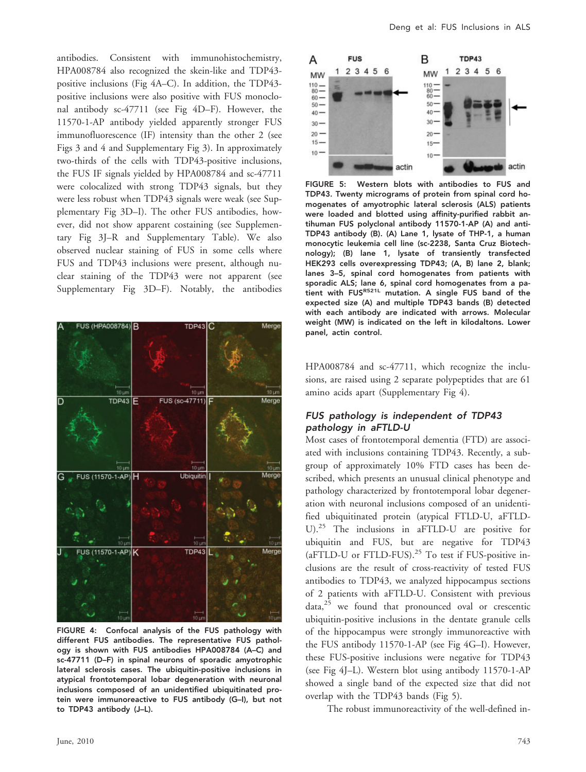antibodies. Consistent with immunohistochemistry, HPA008784 also recognized the skein-like and TDP43 positive inclusions (Fig 4A–C). In addition, the TDP43 positive inclusions were also positive with FUS monoclonal antibody sc-47711 (see Fig 4D–F). However, the 11570-1-AP antibody yielded apparently stronger FUS immunofluorescence (IF) intensity than the other 2 (see Figs 3 and 4 and Supplementary Fig 3). In approximately two-thirds of the cells with TDP43-positive inclusions, the FUS IF signals yielded by HPA008784 and sc-47711 were colocalized with strong TDP43 signals, but they were less robust when TDP43 signals were weak (see Supplementary Fig 3D–I). The other FUS antibodies, however, did not show apparent costaining (see Supplementary Fig 3J–R and Supplementary Table). We also observed nuclear staining of FUS in some cells where FUS and TDP43 inclusions were present, although nuclear staining of the TDP43 were not apparent (see Supplementary Fig 3D–F). Notably, the antibodies



FIGURE 4: Confocal analysis of the FUS pathology with different FUS antibodies. The representative FUS pathology is shown with FUS antibodies HPA008784 (A–C) and sc-47711 (D–F) in spinal neurons of sporadic amyotrophic lateral sclerosis cases. The ubiquitin-positive inclusions in atypical frontotemporal lobar degeneration with neuronal inclusions composed of an unidentified ubiquitinated protein were immunoreactive to FUS antibody (G–I), but not to TDP43 antibody (J–L).



FIGURE 5: Western blots with antibodies to FUS and TDP43. Twenty micrograms of protein from spinal cord homogenates of amyotrophic lateral sclerosis (ALS) patients were loaded and blotted using affinity-purified rabbit antihuman FUS polyclonal antibody 11570-1-AP (A) and anti-TDP43 antibody (B). (A) Lane 1, lysate of THP-1, a human monocytic leukemia cell line (sc-2238, Santa Cruz Biotechnology); (B) lane 1, lysate of transiently transfected HEK293 cells overexpressing TDP43; (A, B) lane 2, blank; lanes 3–5, spinal cord homogenates from patients with sporadic ALS; lane 6, spinal cord homogenates from a patient with FUSR521L mutation. A single FUS band of the expected size (A) and multiple TDP43 bands (B) detected with each antibody are indicated with arrows. Molecular weight (MW) is indicated on the left in kilodaltons. Lower panel, actin control.

HPA008784 and sc-47711, which recognize the inclusions, are raised using 2 separate polypeptides that are 61 amino acids apart (Supplementary Fig 4).

#### FUS pathology is independent of TDP43 pathology in aFTLD-U

Most cases of frontotemporal dementia (FTD) are associated with inclusions containing TDP43. Recently, a subgroup of approximately 10% FTD cases has been described, which presents an unusual clinical phenotype and pathology characterized by frontotemporal lobar degeneration with neuronal inclusions composed of an unidentified ubiquitinated protein (atypical FTLD-U, aFTLD-U).25 The inclusions in aFTLD-U are positive for ubiquitin and FUS, but are negative for TDP43 (aFTLD-U or FTLD-FUS). $25$  To test if FUS-positive inclusions are the result of cross-reactivity of tested FUS antibodies to TDP43, we analyzed hippocampus sections of 2 patients with aFTLD-U. Consistent with previous  $data<sub>25</sub>$  we found that pronounced oval or crescentic ubiquitin-positive inclusions in the dentate granule cells of the hippocampus were strongly immunoreactive with the FUS antibody 11570-1-AP (see Fig 4G–I). However, these FUS-positive inclusions were negative for TDP43 (see Fig 4J–L). Western blot using antibody 11570-1-AP showed a single band of the expected size that did not overlap with the TDP43 bands (Fig 5).

The robust immunoreactivity of the well-defined in-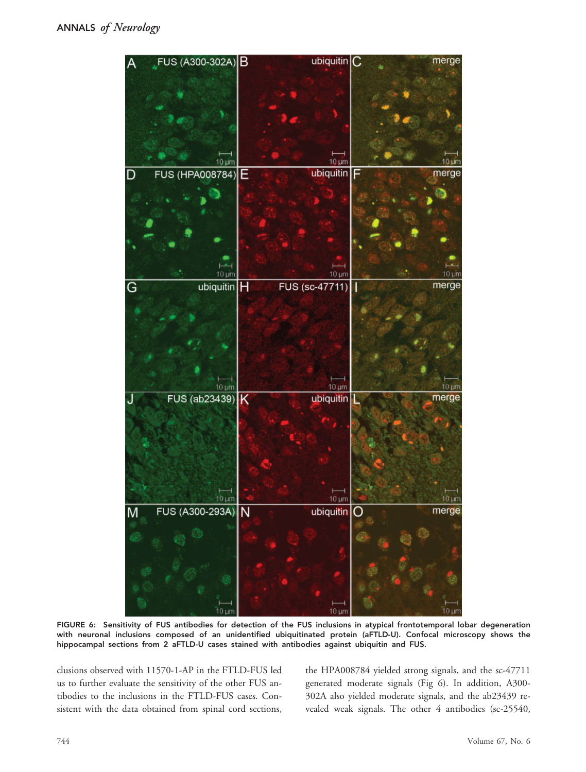

FIGURE 6: Sensitivity of FUS antibodies for detection of the FUS inclusions in atypical frontotemporal lobar degeneration with neuronal inclusions composed of an unidentified ubiquitinated protein (aFTLD-U). Confocal microscopy shows the hippocampal sections from 2 aFTLD-U cases stained with antibodies against ubiquitin and FUS.

clusions observed with 11570-1-AP in the FTLD-FUS led us to further evaluate the sensitivity of the other FUS antibodies to the inclusions in the FTLD-FUS cases. Consistent with the data obtained from spinal cord sections, the HPA008784 yielded strong signals, and the sc-47711 generated moderate signals (Fig 6). In addition, A300- 302A also yielded moderate signals, and the ab23439 revealed weak signals. The other 4 antibodies (sc-25540,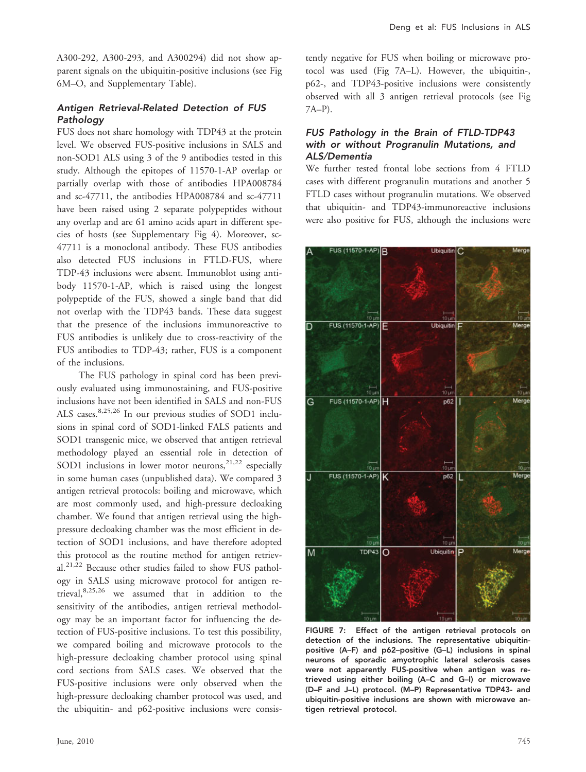A300-292, A300-293, and A300294) did not show apparent signals on the ubiquitin-positive inclusions (see Fig 6M–O, and Supplementary Table).

#### Antigen Retrieval-Related Detection of FUS Pathology

FUS does not share homology with TDP43 at the protein level. We observed FUS-positive inclusions in SALS and non-SOD1 ALS using 3 of the 9 antibodies tested in this study. Although the epitopes of 11570-1-AP overlap or partially overlap with those of antibodies HPA008784 and sc-47711, the antibodies HPA008784 and sc-47711 have been raised using 2 separate polypeptides without any overlap and are 61 amino acids apart in different species of hosts (see Supplementary Fig 4). Moreover, sc-47711 is a monoclonal antibody. These FUS antibodies also detected FUS inclusions in FTLD-FUS, where TDP-43 inclusions were absent. Immunoblot using antibody 11570-1-AP, which is raised using the longest polypeptide of the FUS, showed a single band that did not overlap with the TDP43 bands. These data suggest that the presence of the inclusions immunoreactive to FUS antibodies is unlikely due to cross-reactivity of the FUS antibodies to TDP-43; rather, FUS is a component of the inclusions.

The FUS pathology in spinal cord has been previously evaluated using immunostaining, and FUS-positive inclusions have not been identified in SALS and non-FUS ALS cases.8,25,26 In our previous studies of SOD1 inclusions in spinal cord of SOD1-linked FALS patients and SOD1 transgenic mice, we observed that antigen retrieval methodology played an essential role in detection of SOD1 inclusions in lower motor neurons,  $2^{1,22}$  especially in some human cases (unpublished data). We compared 3 antigen retrieval protocols: boiling and microwave, which are most commonly used, and high-pressure decloaking chamber. We found that antigen retrieval using the highpressure decloaking chamber was the most efficient in detection of SOD1 inclusions, and have therefore adopted this protocol as the routine method for antigen retrieval.21,22 Because other studies failed to show FUS pathology in SALS using microwave protocol for antigen retrieval,8,25,26 we assumed that in addition to the sensitivity of the antibodies, antigen retrieval methodology may be an important factor for influencing the detection of FUS-positive inclusions. To test this possibility, we compared boiling and microwave protocols to the high-pressure decloaking chamber protocol using spinal cord sections from SALS cases. We observed that the FUS-positive inclusions were only observed when the high-pressure decloaking chamber protocol was used, and the ubiquitin- and p62-positive inclusions were consistently negative for FUS when boiling or microwave protocol was used (Fig 7A–L). However, the ubiquitin-, p62-, and TDP43-positive inclusions were consistently observed with all 3 antigen retrieval protocols (see Fig 7A–P).

### FUS Pathology in the Brain of FTLD-TDP43 with or without Progranulin Mutations, and ALS/Dementia

We further tested frontal lobe sections from 4 FTLD cases with different progranulin mutations and another 5 FTLD cases without progranulin mutations. We observed that ubiquitin- and TDP43-immunoreactive inclusions were also positive for FUS, although the inclusions were



FIGURE 7: Effect of the antigen retrieval protocols on detection of the inclusions. The representative ubiquitinpositive (A–F) and p62–positive (G–L) inclusions in spinal neurons of sporadic amyotrophic lateral sclerosis cases were not apparently FUS-positive when antigen was retrieved using either boiling (A–C and G–I) or microwave (D–F and J–L) protocol. (M–P) Representative TDP43- and ubiquitin-positive inclusions are shown with microwave antigen retrieval protocol.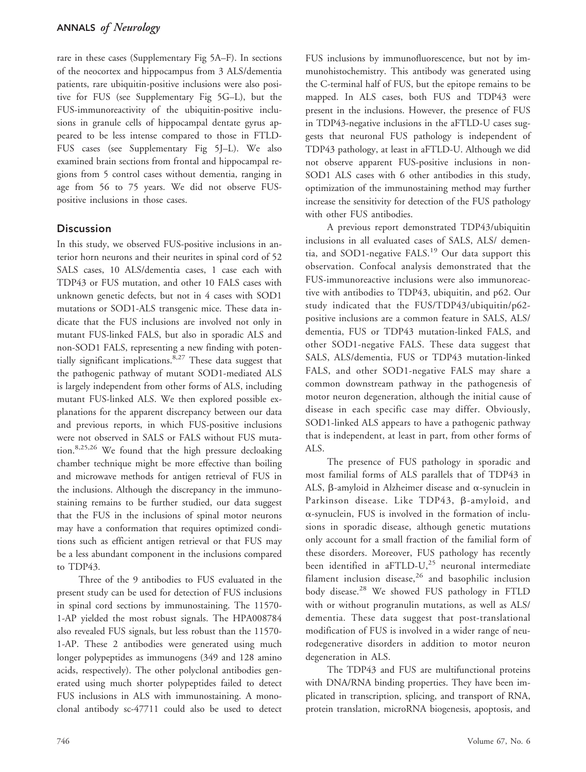rare in these cases (Supplementary Fig 5A–F). In sections of the neocortex and hippocampus from 3 ALS/dementia patients, rare ubiquitin-positive inclusions were also positive for FUS (see Supplementary Fig 5G–L), but the FUS-immunoreactivity of the ubiquitin-positive inclusions in granule cells of hippocampal dentate gyrus appeared to be less intense compared to those in FTLD-FUS cases (see Supplementary Fig 5J–L). We also examined brain sections from frontal and hippocampal regions from 5 control cases without dementia, ranging in age from 56 to 75 years. We did not observe FUSpositive inclusions in those cases.

## **Discussion**

In this study, we observed FUS-positive inclusions in anterior horn neurons and their neurites in spinal cord of 52 SALS cases, 10 ALS/dementia cases, 1 case each with TDP43 or FUS mutation, and other 10 FALS cases with unknown genetic defects, but not in 4 cases with SOD1 mutations or SOD1-ALS transgenic mice. These data indicate that the FUS inclusions are involved not only in mutant FUS-linked FALS, but also in sporadic ALS and non-SOD1 FALS, representing a new finding with potentially significant implications.<sup>8,27</sup> These data suggest that the pathogenic pathway of mutant SOD1-mediated ALS is largely independent from other forms of ALS, including mutant FUS-linked ALS. We then explored possible explanations for the apparent discrepancy between our data and previous reports, in which FUS-positive inclusions were not observed in SALS or FALS without FUS mutation.8,25,26 We found that the high pressure decloaking chamber technique might be more effective than boiling and microwave methods for antigen retrieval of FUS in the inclusions. Although the discrepancy in the immunostaining remains to be further studied, our data suggest that the FUS in the inclusions of spinal motor neurons may have a conformation that requires optimized conditions such as efficient antigen retrieval or that FUS may be a less abundant component in the inclusions compared to TDP43.

Three of the 9 antibodies to FUS evaluated in the present study can be used for detection of FUS inclusions in spinal cord sections by immunostaining. The 11570- 1-AP yielded the most robust signals. The HPA008784 also revealed FUS signals, but less robust than the 11570- 1-AP. These 2 antibodies were generated using much longer polypeptides as immunogens (349 and 128 amino acids, respectively). The other polyclonal antibodies generated using much shorter polypeptides failed to detect FUS inclusions in ALS with immunostaining. A monoclonal antibody sc-47711 could also be used to detect FUS inclusions by immunofluorescence, but not by immunohistochemistry. This antibody was generated using the C-terminal half of FUS, but the epitope remains to be mapped. In ALS cases, both FUS and TDP43 were present in the inclusions. However, the presence of FUS in TDP43-negative inclusions in the aFTLD-U cases suggests that neuronal FUS pathology is independent of TDP43 pathology, at least in aFTLD-U. Although we did not observe apparent FUS-positive inclusions in non-SOD1 ALS cases with 6 other antibodies in this study, optimization of the immunostaining method may further increase the sensitivity for detection of the FUS pathology with other FUS antibodies.

A previous report demonstrated TDP43/ubiquitin inclusions in all evaluated cases of SALS, ALS/ dementia, and SOD1-negative FALS.<sup>19</sup> Our data support this observation. Confocal analysis demonstrated that the FUS-immunoreactive inclusions were also immunoreactive with antibodies to TDP43, ubiquitin, and p62. Our study indicated that the FUS/TDP43/ubiquitin/p62 positive inclusions are a common feature in SALS, ALS/ dementia, FUS or TDP43 mutation-linked FALS, and other SOD1-negative FALS. These data suggest that SALS, ALS/dementia, FUS or TDP43 mutation-linked FALS, and other SOD1-negative FALS may share a common downstream pathway in the pathogenesis of motor neuron degeneration, although the initial cause of disease in each specific case may differ. Obviously, SOD1-linked ALS appears to have a pathogenic pathway that is independent, at least in part, from other forms of ALS.

The presence of FUS pathology in sporadic and most familial forms of ALS parallels that of TDP43 in ALS,  $\beta$ -amyloid in Alzheimer disease and  $\alpha$ -synuclein in Parkinson disease. Like TDP43, B-amyloid, and  $\alpha$ -synuclein, FUS is involved in the formation of inclusions in sporadic disease, although genetic mutations only account for a small fraction of the familial form of these disorders. Moreover, FUS pathology has recently been identified in aFTLD-U, $^{25}$  neuronal intermediate filament inclusion disease, $26$  and basophilic inclusion body disease.<sup>28</sup> We showed FUS pathology in FTLD with or without progranulin mutations, as well as ALS/ dementia. These data suggest that post-translational modification of FUS is involved in a wider range of neurodegenerative disorders in addition to motor neuron degeneration in ALS.

The TDP43 and FUS are multifunctional proteins with DNA/RNA binding properties. They have been implicated in transcription, splicing, and transport of RNA, protein translation, microRNA biogenesis, apoptosis, and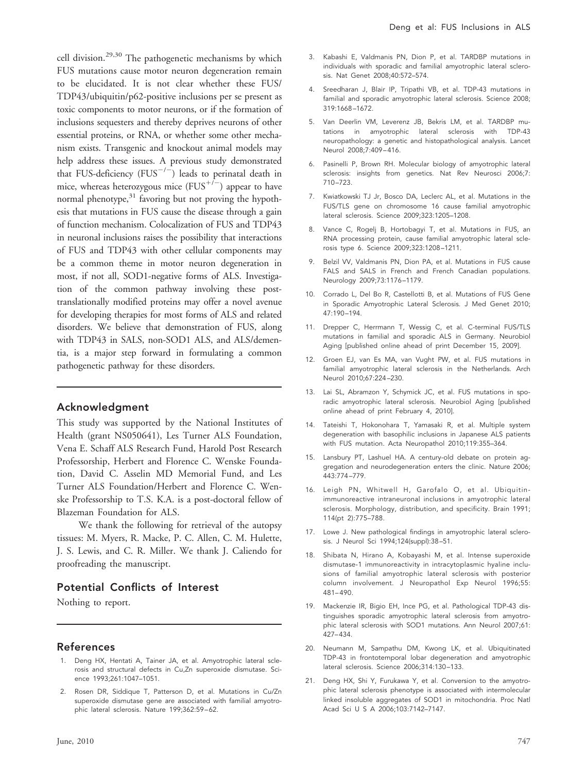cell division.<sup>29,30</sup> The pathogenetic mechanisms by which FUS mutations cause motor neuron degeneration remain to be elucidated. It is not clear whether these FUS/ TDP43/ubiquitin/p62-positive inclusions per se present as toxic components to motor neurons, or if the formation of inclusions sequesters and thereby deprives neurons of other essential proteins, or RNA, or whether some other mechanism exists. Transgenic and knockout animal models may help address these issues. A previous study demonstrated that FUS-deficiency (FUS<sup>-/-</sup>) leads to perinatal death in mice, whereas heterozygous mice  $(FUS^{+/-})$  appear to have normal phenotype, $31$  favoring but not proving the hypothesis that mutations in FUS cause the disease through a gain of function mechanism. Colocalization of FUS and TDP43 in neuronal inclusions raises the possibility that interactions of FUS and TDP43 with other cellular components may be a common theme in motor neuron degeneration in most, if not all, SOD1-negative forms of ALS. Investigation of the common pathway involving these posttranslationally modified proteins may offer a novel avenue for developing therapies for most forms of ALS and related disorders. We believe that demonstration of FUS, along with TDP43 in SALS, non-SOD1 ALS, and ALS/dementia, is a major step forward in formulating a common pathogenetic pathway for these disorders.

#### Acknowledgment

This study was supported by the National Institutes of Health (grant NS050641), Les Turner ALS Foundation, Vena E. Schaff ALS Research Fund, Harold Post Research Professorship, Herbert and Florence C. Wenske Foundation, David C. Asselin MD Memorial Fund, and Les Turner ALS Foundation/Herbert and Florence C. Wenske Professorship to T.S. K.A. is a post-doctoral fellow of Blazeman Foundation for ALS.

We thank the following for retrieval of the autopsy tissues: M. Myers, R. Macke, P. C. Allen, C. M. Hulette, J. S. Lewis, and C. R. Miller. We thank J. Caliendo for proofreading the manuscript.

#### Potential Conflicts of Interest

Nothing to report.

#### References

- 1. Deng HX, Hentati A, Tainer JA, et al. Amyotrophic lateral sclerosis and structural defects in Cu,Zn superoxide dismutase. Science 1993;261:1047–1051.
- 2. Rosen DR, Siddique T, Patterson D, et al. Mutations in Cu/Zn superoxide dismutase gene are associated with familial amyotrophic lateral sclerosis. Nature 199;362:59-62.
- 3. Kabashi E, Valdmanis PN, Dion P, et al. TARDBP mutations in individuals with sporadic and familial amyotrophic lateral sclerosis. Nat Genet 2008;40:572–574.
- 4. Sreedharan J, Blair IP, Tripathi VB, et al. TDP-43 mutations in familial and sporadic amyotrophic lateral sclerosis. Science 2008; 319:1668 –1672.
- 5. Van Deerlin VM, Leverenz JB, Bekris LM, et al. TARDBP mutations in amyotrophic lateral sclerosis with TDP-43 neuropathology: a genetic and histopathological analysis. Lancet Neurol 2008;7:409 – 416.
- 6. Pasinelli P, Brown RH. Molecular biology of amyotrophic lateral sclerosis: insights from genetics. Nat Rev Neurosci 2006;7: 710 –723.
- 7. Kwiatkowski TJ Jr, Bosco DA, Leclerc AL, et al. Mutations in the FUS/TLS gene on chromosome 16 cause familial amyotrophic lateral sclerosis. Science 2009;323:1205–1208.
- 8. Vance C, Rogelj B, Hortobagyi T, et al. Mutations in FUS, an RNA processing protein, cause familial amyotrophic lateral sclerosis type 6. Science 2009;323:1208 –1211.
- 9. Belzil VV, Valdmanis PN, Dion PA, et al. Mutations in FUS cause FALS and SALS in French and French Canadian populations. Neurology 2009;73:1176 –1179.
- 10. Corrado L, Del Bo R, Castellotti B, et al. Mutations of FUS Gene in Sporadic Amyotrophic Lateral Sclerosis. J Med Genet 2010; 47:190 –194.
- 11. Drepper C, Herrmann T, Wessig C, et al. C-terminal FUS/TLS mutations in familial and sporadic ALS in Germany. Neurobiol Aging [published online ahead of print December 15, 2009].
- 12. Groen EJ, van Es MA, van Vught PW, et al. FUS mutations in familial amyotrophic lateral sclerosis in the Netherlands. Arch Neurol 2010;67:224 –230.
- 13. Lai SL, Abramzon Y, Schymick JC, et al. FUS mutations in sporadic amyotrophic lateral sclerosis. Neurobiol Aging [published online ahead of print February 4, 2010].
- 14. Tateishi T, Hokonohara T, Yamasaki R, et al. Multiple system degeneration with basophilic inclusions in Japanese ALS patients with FUS mutation. Acta Neuropathol 2010;119:355–364.
- 15. Lansbury PT, Lashuel HA. A century-old debate on protein aggregation and neurodegeneration enters the clinic. Nature 2006; 443:774 –779.
- 16. Leigh PN, Whitwell H, Garofalo O, et al. Ubiquitinimmunoreactive intraneuronal inclusions in amyotrophic lateral sclerosis. Morphology, distribution, and specificity. Brain 1991; 114(pt 2):775–788.
- 17. Lowe J. New pathological findings in amyotrophic lateral sclerosis. J Neurol Sci 1994;124(suppl):38 –51.
- 18. Shibata N, Hirano A, Kobayashi M, et al. Intense superoxide dismutase-1 immunoreactivity in intracytoplasmic hyaline inclusions of familial amyotrophic lateral sclerosis with posterior column involvement. J Neuropathol Exp Neurol 1996;55:  $481 - 490.$
- 19. Mackenzie IR, Bigio EH, Ince PG, et al. Pathological TDP-43 distinguishes sporadic amyotrophic lateral sclerosis from amyotrophic lateral sclerosis with SOD1 mutations. Ann Neurol 2007;61: 427– 434.
- 20. Neumann M, Sampathu DM, Kwong LK, et al. Ubiquitinated TDP-43 in frontotemporal lobar degeneration and amyotrophic lateral sclerosis. Science 2006;314:130 –133.
- 21. Deng HX, Shi Y, Furukawa Y, et al. Conversion to the amyotrophic lateral sclerosis phenotype is associated with intermolecular linked insoluble aggregates of SOD1 in mitochondria. Proc Natl Acad Sci U S A 2006;103:7142-7147.